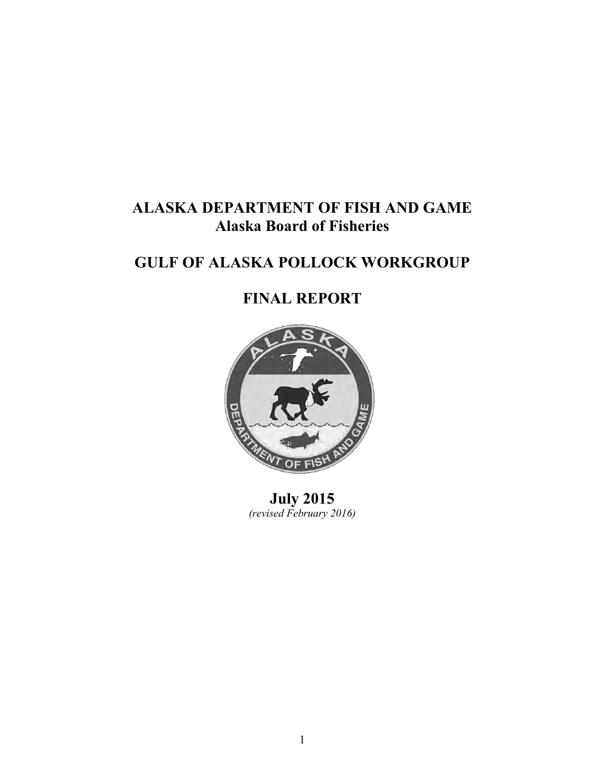# **ALASKA DEPARTMENT OF FISH AND GAME Alaska Board of Fisheries**

# **GULF OF ALASKA POLLOCK WORKGROUP**

# **FINAL REPORT**



**July 2015** *(revised February 2016)*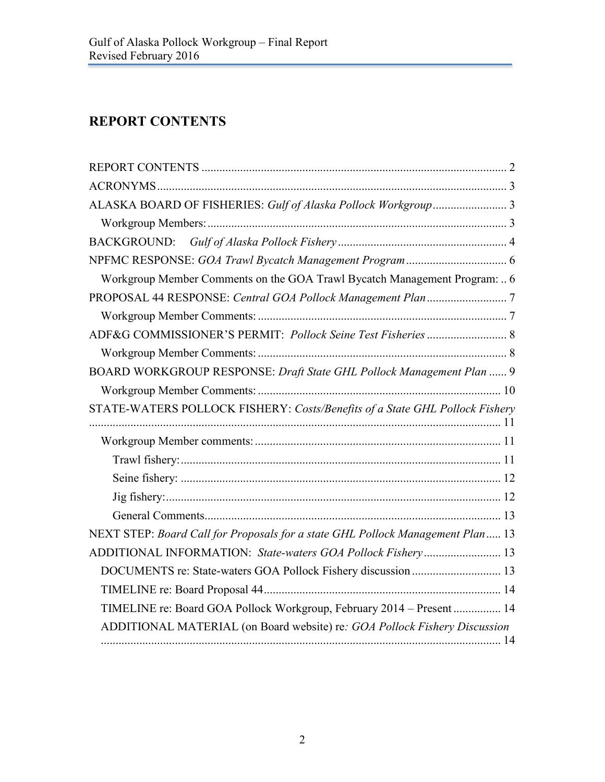# <span id="page-1-0"></span>**REPORT CONTENTS**

| Workgroup Member Comments on the GOA Trawl Bycatch Management Program:  6      |  |
|--------------------------------------------------------------------------------|--|
|                                                                                |  |
|                                                                                |  |
|                                                                                |  |
|                                                                                |  |
| BOARD WORKGROUP RESPONSE: Draft State GHL Pollock Management Plan  9           |  |
|                                                                                |  |
| STATE-WATERS POLLOCK FISHERY: Costs/Benefits of a State GHL Pollock Fishery    |  |
|                                                                                |  |
|                                                                                |  |
|                                                                                |  |
|                                                                                |  |
|                                                                                |  |
| NEXT STEP: Board Call for Proposals for a state GHL Pollock Management Plan 13 |  |
| ADDITIONAL INFORMATION: State-waters GOA Pollock Fishery 13                    |  |
|                                                                                |  |
|                                                                                |  |
| TIMELINE re: Board GOA Pollock Workgroup, February 2014 – Present 14           |  |
| ADDITIONAL MATERIAL (on Board website) re: GOA Pollock Fishery Discussion      |  |
|                                                                                |  |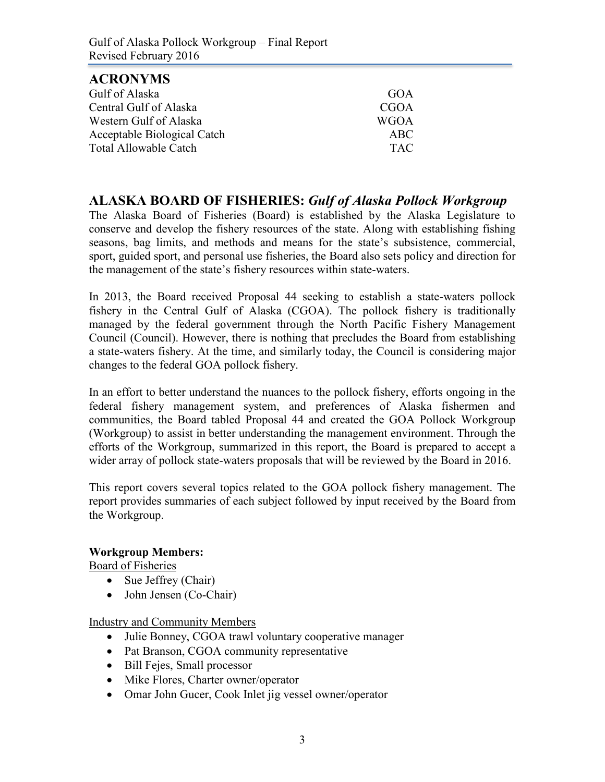Gulf of Alaska Pollock Workgroup – Final Report Revised February 2016

<span id="page-2-0"></span>

| <b>ACRONYMS</b>              |             |
|------------------------------|-------------|
| Gulf of Alaska               | GOA         |
| Central Gulf of Alaska       | <b>CGOA</b> |
| Western Gulf of Alaska       | WGOA        |
| Acceptable Biological Catch  | ABC.        |
| <b>Total Allowable Catch</b> | TAC.        |

### <span id="page-2-1"></span>**ALASKA BOARD OF FISHERIES:** *Gulf of Alaska Pollock Workgroup*

The Alaska Board of Fisheries (Board) is established by the Alaska Legislature to conserve and develop the fishery resources of the state. Along with establishing fishing seasons, bag limits, and methods and means for the state's subsistence, commercial, sport, guided sport, and personal use fisheries, the Board also sets policy and direction for the management of the state's fishery resources within state-waters.

In 2013, the Board received Proposal 44 seeking to establish a state-waters pollock fishery in the Central Gulf of Alaska (CGOA). The pollock fishery is traditionally managed by the federal government through the North Pacific Fishery Management Council (Council). However, there is nothing that precludes the Board from establishing a state-waters fishery. At the time, and similarly today, the Council is considering major changes to the federal GOA pollock fishery.

In an effort to better understand the nuances to the pollock fishery, efforts ongoing in the federal fishery management system, and preferences of Alaska fishermen and communities, the Board tabled Proposal 44 and created the GOA Pollock Workgroup (Workgroup) to assist in better understanding the management environment. Through the efforts of the Workgroup, summarized in this report, the Board is prepared to accept a wider array of pollock state-waters proposals that will be reviewed by the Board in 2016.

This report covers several topics related to the GOA pollock fishery management. The report provides summaries of each subject followed by input received by the Board from the Workgroup.

#### <span id="page-2-2"></span>**Workgroup Members:**

Board of Fisheries

- Sue Jeffrey (Chair)
- John Jensen (Co-Chair)

Industry and Community Members

- Julie Bonney, CGOA trawl voluntary cooperative manager
- Pat Branson, CGOA community representative
- Bill Fejes, Small processor
- Mike Flores, Charter owner/operator
- Omar John Gucer, Cook Inlet jig vessel owner/operator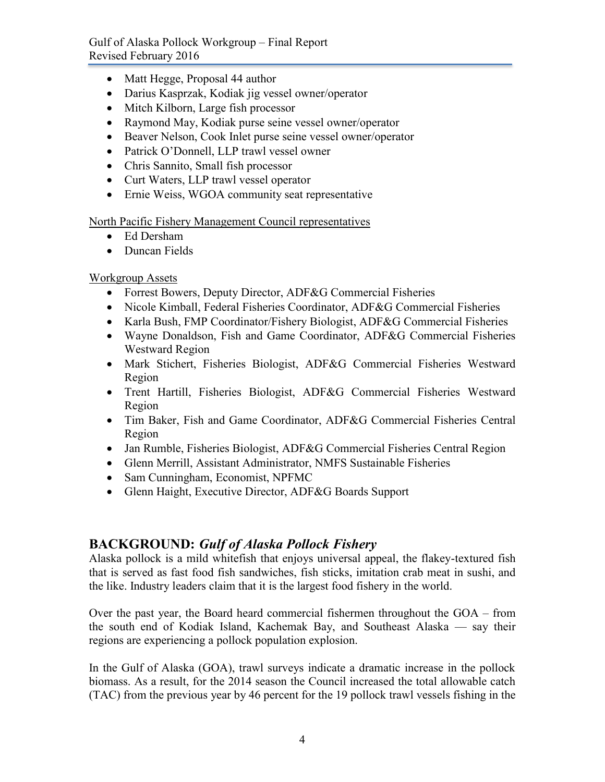Gulf of Alaska Pollock Workgroup – Final Report Revised February 2016

- Matt Hegge, Proposal 44 author
- Darius Kasprzak, Kodiak jig vessel owner/operator
- Mitch Kilborn, Large fish processor
- Raymond May, Kodiak purse seine vessel owner/operator
- Beaver Nelson, Cook Inlet purse seine vessel owner/operator
- Patrick O'Donnell, LLP trawl vessel owner
- Chris Sannito, Small fish processor
- Curt Waters, LLP trawl vessel operator
- Ernie Weiss, WGOA community seat representative

North Pacific Fishery Management Council representatives

- Ed Dersham
- Duncan Fields

#### Workgroup Assets

- Forrest Bowers, Deputy Director, ADF&G Commercial Fisheries
- Nicole Kimball, Federal Fisheries Coordinator, ADF&G Commercial Fisheries
- Karla Bush, FMP Coordinator/Fishery Biologist, ADF&G Commercial Fisheries
- Wayne Donaldson, Fish and Game Coordinator, ADF&G Commercial Fisheries Westward Region
- Mark Stichert, Fisheries Biologist, ADF&G Commercial Fisheries Westward Region
- Trent Hartill, Fisheries Biologist, ADF&G Commercial Fisheries Westward Region
- Tim Baker, Fish and Game Coordinator, ADF&G Commercial Fisheries Central Region
- Jan Rumble, Fisheries Biologist, ADF&G Commercial Fisheries Central Region
- Glenn Merrill, Assistant Administrator, NMFS Sustainable Fisheries
- Sam Cunningham, Economist, NPFMC
- Glenn Haight, Executive Director, ADF&G Boards Support

## <span id="page-3-0"></span>**BACKGROUND:** *Gulf of Alaska Pollock Fishery*

Alaska pollock is a mild whitefish that enjoys universal appeal, the flakey-textured fish that is served as fast food fish sandwiches, fish sticks, imitation crab meat in sushi, and the like. Industry leaders claim that it is the largest food fishery in the world.

Over the past year, the Board heard commercial fishermen throughout the GOA – from the south end of Kodiak Island, Kachemak Bay, and Southeast Alaska — say their regions are experiencing a pollock population explosion.

In the Gulf of Alaska (GOA), trawl surveys indicate a dramatic increase in the pollock biomass. As a result, for the 2014 season the Council increased the total allowable catch (TAC) from the previous year by 46 percent for the 19 pollock trawl vessels fishing in the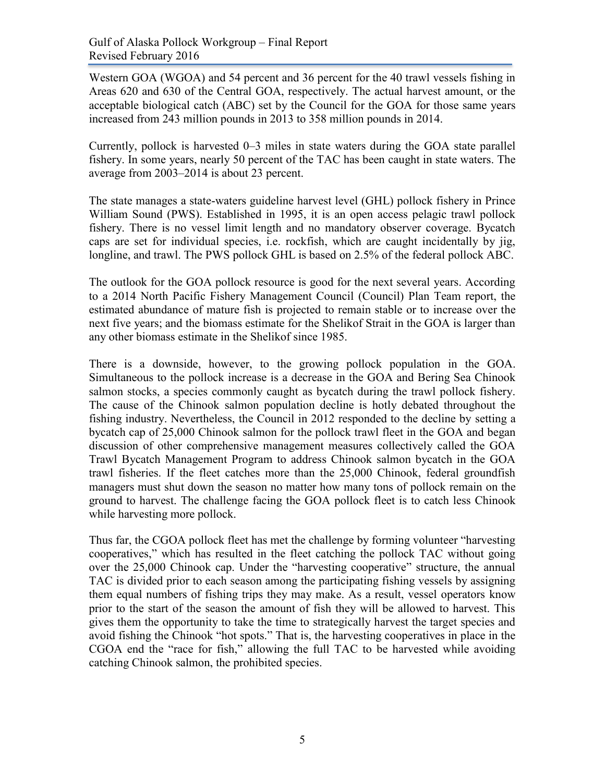Western GOA (WGOA) and 54 percent and 36 percent for the 40 trawl vessels fishing in Areas 620 and 630 of the Central GOA, respectively. The actual harvest amount, or the acceptable biological catch (ABC) set by the Council for the GOA for those same years increased from 243 million pounds in 2013 to 358 million pounds in 2014.

Currently, pollock is harvested 0–3 miles in state waters during the GOA state parallel fishery. In some years, nearly 50 percent of the TAC has been caught in state waters. The average from 2003–2014 is about 23 percent.

The state manages a state-waters guideline harvest level (GHL) pollock fishery in Prince William Sound (PWS). Established in 1995, it is an open access pelagic trawl pollock fishery. There is no vessel limit length and no mandatory observer coverage. Bycatch caps are set for individual species, i.e. rockfish, which are caught incidentally by jig, longline, and trawl. The PWS pollock GHL is based on 2.5% of the federal pollock ABC.

The outlook for the GOA pollock resource is good for the next several years. According to a 2014 North Pacific Fishery Management Council (Council) Plan Team report, the estimated abundance of mature fish is projected to remain stable or to increase over the next five years; and the biomass estimate for the Shelikof Strait in the GOA is larger than any other biomass estimate in the Shelikof since 1985.

There is a downside, however, to the growing pollock population in the GOA. Simultaneous to the pollock increase is a decrease in the GOA and Bering Sea Chinook salmon stocks, a species commonly caught as bycatch during the trawl pollock fishery. The cause of the Chinook salmon population decline is hotly debated throughout the fishing industry. Nevertheless, the Council in 2012 responded to the decline by setting a bycatch cap of 25,000 Chinook salmon for the pollock trawl fleet in the GOA and began discussion of other comprehensive management measures collectively called the GOA Trawl Bycatch Management Program to address Chinook salmon bycatch in the GOA trawl fisheries. If the fleet catches more than the 25,000 Chinook, federal groundfish managers must shut down the season no matter how many tons of pollock remain on the ground to harvest. The challenge facing the GOA pollock fleet is to catch less Chinook while harvesting more pollock.

Thus far, the CGOA pollock fleet has met the challenge by forming volunteer "harvesting cooperatives," which has resulted in the fleet catching the pollock TAC without going over the 25,000 Chinook cap. Under the "harvesting cooperative" structure, the annual TAC is divided prior to each season among the participating fishing vessels by assigning them equal numbers of fishing trips they may make. As a result, vessel operators know prior to the start of the season the amount of fish they will be allowed to harvest. This gives them the opportunity to take the time to strategically harvest the target species and avoid fishing the Chinook "hot spots." That is, the harvesting cooperatives in place in the CGOA end the "race for fish," allowing the full TAC to be harvested while avoiding catching Chinook salmon, the prohibited species.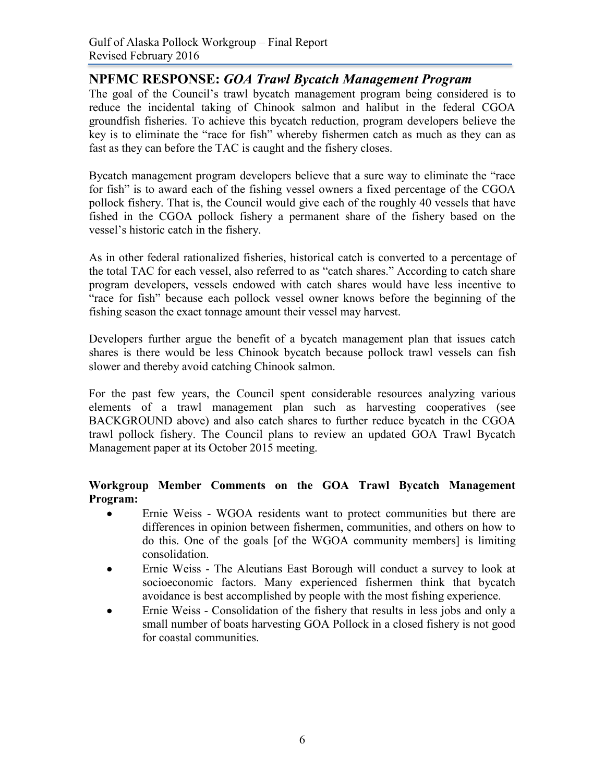### <span id="page-5-0"></span>**NPFMC RESPONSE:** *GOA Trawl Bycatch Management Program*

The goal of the Council's trawl bycatch management program being considered is to reduce the incidental taking of Chinook salmon and halibut in the federal CGOA groundfish fisheries. To achieve this bycatch reduction, program developers believe the key is to eliminate the "race for fish" whereby fishermen catch as much as they can as fast as they can before the TAC is caught and the fishery closes.

Bycatch management program developers believe that a sure way to eliminate the "race for fish" is to award each of the fishing vessel owners a fixed percentage of the CGOA pollock fishery. That is, the Council would give each of the roughly 40 vessels that have fished in the CGOA pollock fishery a permanent share of the fishery based on the vessel's historic catch in the fishery.

As in other federal rationalized fisheries, historical catch is converted to a percentage of the total TAC for each vessel, also referred to as "catch shares." According to catch share program developers, vessels endowed with catch shares would have less incentive to "race for fish" because each pollock vessel owner knows before the beginning of the fishing season the exact tonnage amount their vessel may harvest.

Developers further argue the benefit of a bycatch management plan that issues catch shares is there would be less Chinook bycatch because pollock trawl vessels can fish slower and thereby avoid catching Chinook salmon.

For the past few years, the Council spent considerable resources analyzing various elements of a trawl management plan such as harvesting cooperatives (see BACKGROUND above) and also catch shares to further reduce bycatch in the CGOA trawl pollock fishery. The Council plans to review an updated GOA Trawl Bycatch Management paper at its October 2015 meeting.

<span id="page-5-1"></span>**Workgroup Member Comments on the GOA Trawl Bycatch Management Program:** 

- Ernie Weiss WGOA residents want to protect communities but there are differences in opinion between fishermen, communities, and others on how to do this. One of the goals [of the WGOA community members] is limiting consolidation.
- Ernie Weiss The Aleutians East Borough will conduct a survey to look at socioeconomic factors. Many experienced fishermen think that bycatch avoidance is best accomplished by people with the most fishing experience.
- Ernie Weiss Consolidation of the fishery that results in less jobs and only a small number of boats harvesting GOA Pollock in a closed fishery is not good for coastal communities.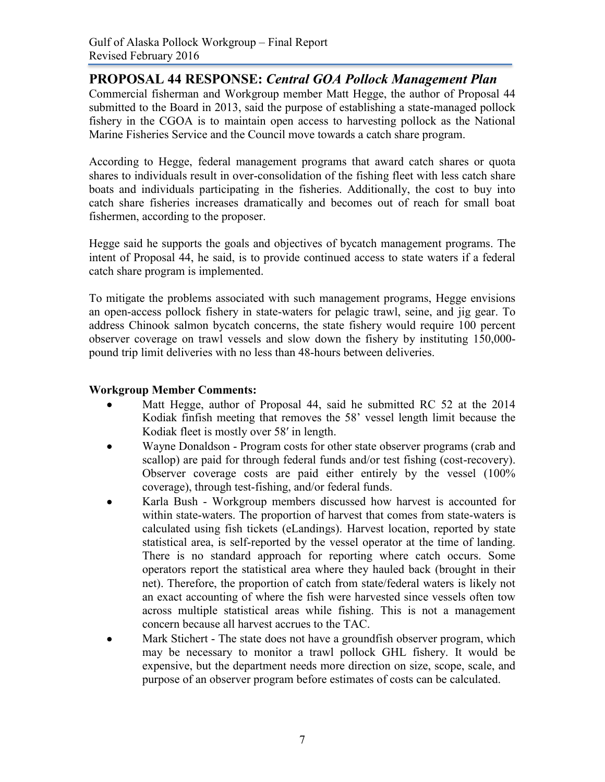## <span id="page-6-0"></span>**PROPOSAL 44 RESPONSE:** *Central GOA Pollock Management Plan*

Commercial fisherman and Workgroup member Matt Hegge, the author of Proposal 44 submitted to the Board in 2013, said the purpose of establishing a state-managed pollock fishery in the CGOA is to maintain open access to harvesting pollock as the National Marine Fisheries Service and the Council move towards a catch share program.

According to Hegge, federal management programs that award catch shares or quota shares to individuals result in over-consolidation of the fishing fleet with less catch share boats and individuals participating in the fisheries. Additionally, the cost to buy into catch share fisheries increases dramatically and becomes out of reach for small boat fishermen, according to the proposer.

Hegge said he supports the goals and objectives of bycatch management programs. The intent of Proposal 44, he said, is to provide continued access to state waters if a federal catch share program is implemented.

To mitigate the problems associated with such management programs, Hegge envisions an open-access pollock fishery in state-waters for pelagic trawl, seine, and jig gear. To address Chinook salmon bycatch concerns, the state fishery would require 100 percent observer coverage on trawl vessels and slow down the fishery by instituting 150,000 pound trip limit deliveries with no less than 48-hours between deliveries.

#### <span id="page-6-1"></span>**Workgroup Member Comments:**

- Matt Hegge, author of Proposal 44, said he submitted RC 52 at the 2014 Kodiak finfish meeting that removes the 58' vessel length limit because the Kodiak fleet is mostly over 58′ in length.
- Wayne Donaldson Program costs for other state observer programs (crab and scallop) are paid for through federal funds and/or test fishing (cost-recovery). Observer coverage costs are paid either entirely by the vessel (100% coverage), through test-fishing, and/or federal funds.
- Karla Bush Workgroup members discussed how harvest is accounted for within state-waters. The proportion of harvest that comes from state-waters is calculated using fish tickets (eLandings). Harvest location, reported by state statistical area, is self-reported by the vessel operator at the time of landing. There is no standard approach for reporting where catch occurs. Some operators report the statistical area where they hauled back (brought in their net). Therefore, the proportion of catch from state/federal waters is likely not an exact accounting of where the fish were harvested since vessels often tow across multiple statistical areas while fishing. This is not a management concern because all harvest accrues to the TAC.
- Mark Stichert The state does not have a groundfish observer program, which may be necessary to monitor a trawl pollock GHL fishery. It would be expensive, but the department needs more direction on size, scope, scale, and purpose of an observer program before estimates of costs can be calculated.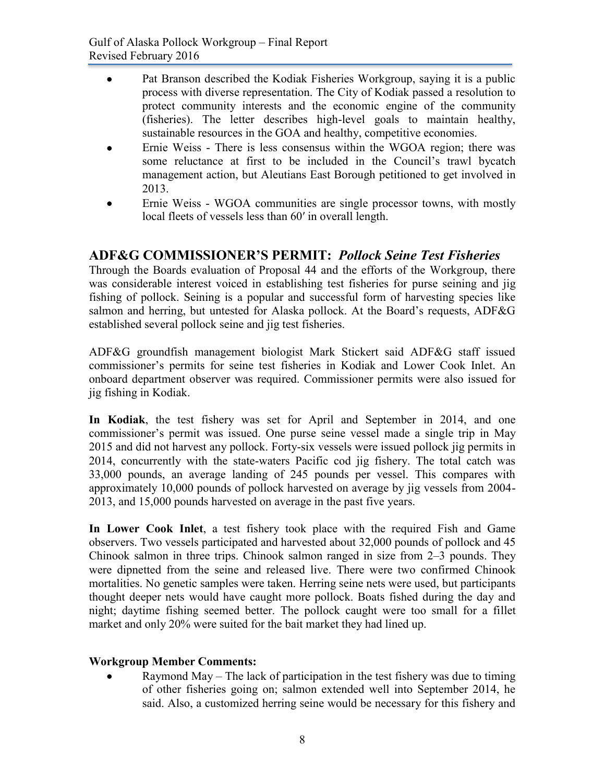- Pat Branson described the Kodiak Fisheries Workgroup, saying it is a public process with diverse representation. The City of Kodiak passed a resolution to protect community interests and the economic engine of the community (fisheries). The letter describes high-level goals to maintain healthy, sustainable resources in the GOA and healthy, competitive economies.
- Ernie Weiss There is less consensus within the WGOA region; there was some reluctance at first to be included in the Council's trawl bycatch management action, but Aleutians East Borough petitioned to get involved in 2013.
- Ernie Weiss WGOA communities are single processor towns, with mostly local fleets of vessels less than 60′ in overall length.

# <span id="page-7-0"></span>**ADF&G COMMISSIONER'S PERMIT:** *Pollock Seine Test Fisheries*

Through the Boards evaluation of Proposal 44 and the efforts of the Workgroup, there was considerable interest voiced in establishing test fisheries for purse seining and jig fishing of pollock. Seining is a popular and successful form of harvesting species like salmon and herring, but untested for Alaska pollock. At the Board's requests, ADF&G established several pollock seine and jig test fisheries.

ADF&G groundfish management biologist Mark Stickert said ADF&G staff issued commissioner's permits for seine test fisheries in Kodiak and Lower Cook Inlet. An onboard department observer was required. Commissioner permits were also issued for jig fishing in Kodiak.

**In Kodiak**, the test fishery was set for April and September in 2014, and one commissioner's permit was issued. One purse seine vessel made a single trip in May 2015 and did not harvest any pollock. Forty-six vessels were issued pollock jig permits in 2014, concurrently with the state-waters Pacific cod jig fishery. The total catch was 33,000 pounds, an average landing of 245 pounds per vessel. This compares with approximately 10,000 pounds of pollock harvested on average by jig vessels from 2004- 2013, and 15,000 pounds harvested on average in the past five years.

**In Lower Cook Inlet**, a test fishery took place with the required Fish and Game observers. Two vessels participated and harvested about 32,000 pounds of pollock and 45 Chinook salmon in three trips. Chinook salmon ranged in size from 2–3 pounds. They were dipnetted from the seine and released live. There were two confirmed Chinook mortalities. No genetic samples were taken. Herring seine nets were used, but participants thought deeper nets would have caught more pollock. Boats fished during the day and night; daytime fishing seemed better. The pollock caught were too small for a fillet market and only 20% were suited for the bait market they had lined up.

### <span id="page-7-1"></span>**Workgroup Member Comments:**

 Raymond May – The lack of participation in the test fishery was due to timing of other fisheries going on; salmon extended well into September 2014, he said. Also, a customized herring seine would be necessary for this fishery and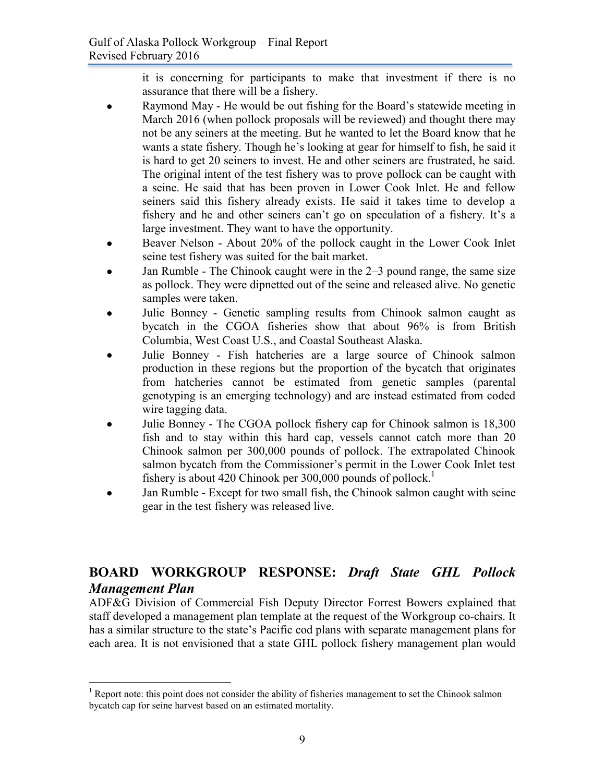it is concerning for participants to make that investment if there is no assurance that there will be a fishery.

- Raymond May He would be out fishing for the Board's statewide meeting in March 2016 (when pollock proposals will be reviewed) and thought there may not be any seiners at the meeting. But he wanted to let the Board know that he wants a state fishery. Though he's looking at gear for himself to fish, he said it is hard to get 20 seiners to invest. He and other seiners are frustrated, he said. The original intent of the test fishery was to prove pollock can be caught with a seine. He said that has been proven in Lower Cook Inlet. He and fellow seiners said this fishery already exists. He said it takes time to develop a fishery and he and other seiners can't go on speculation of a fishery. It's a large investment. They want to have the opportunity.
- Beaver Nelson About 20% of the pollock caught in the Lower Cook Inlet seine test fishery was suited for the bait market.
- Jan Rumble The Chinook caught were in the 2–3 pound range, the same size as pollock. They were dipnetted out of the seine and released alive. No genetic samples were taken.
- Julie Bonney Genetic sampling results from Chinook salmon caught as bycatch in the CGOA fisheries show that about 96% is from British Columbia, West Coast U.S., and Coastal Southeast Alaska.
- Julie Bonney Fish hatcheries are a large source of Chinook salmon production in these regions but the proportion of the bycatch that originates from hatcheries cannot be estimated from genetic samples (parental genotyping is an emerging technology) and are instead estimated from coded wire tagging data.
- Julie Bonney The CGOA pollock fishery cap for Chinook salmon is 18,300 fish and to stay within this hard cap, vessels cannot catch more than 20 Chinook salmon per 300,000 pounds of pollock. The extrapolated Chinook salmon bycatch from the Commissioner's permit in the Lower Cook Inlet test fishery is about 420 Chinook per  $300,000$  pounds of pollock.<sup>1</sup>
- Jan Rumble Except for two small fish, the Chinook salmon caught with seine gear in the test fishery was released live.

# <span id="page-8-0"></span>**BOARD WORKGROUP RESPONSE:** *Draft State GHL Pollock Management Plan*

ADF&G Division of Commercial Fish Deputy Director Forrest Bowers explained that staff developed a management plan template at the request of the Workgroup co-chairs. It has a similar structure to the state's Pacific cod plans with separate management plans for each area. It is not envisioned that a state GHL pollock fishery management plan would

 $\overline{a}$ <sup>1</sup> Report note: this point does not consider the ability of fisheries management to set the Chinook salmon bycatch cap for seine harvest based on an estimated mortality.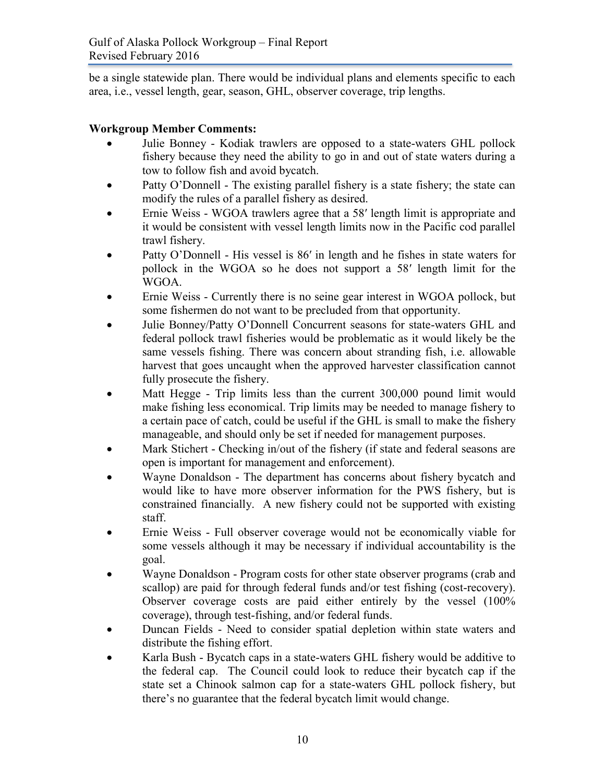be a single statewide plan. There would be individual plans and elements specific to each area, i.e., vessel length, gear, season, GHL, observer coverage, trip lengths.

#### <span id="page-9-0"></span>**Workgroup Member Comments:**

- Julie Bonney Kodiak trawlers are opposed to a state-waters GHL pollock fishery because they need the ability to go in and out of state waters during a tow to follow fish and avoid bycatch.
- Patty O'Donnell The existing parallel fishery is a state fishery; the state can modify the rules of a parallel fishery as desired.
- Ernie Weiss WGOA trawlers agree that a 58′ length limit is appropriate and it would be consistent with vessel length limits now in the Pacific cod parallel trawl fishery.
- Patty O'Donnell His vessel is 86′ in length and he fishes in state waters for pollock in the WGOA so he does not support a 58′ length limit for the WGOA.
- Ernie Weiss Currently there is no seine gear interest in WGOA pollock, but some fishermen do not want to be precluded from that opportunity.
- Julie Bonney/Patty O'Donnell Concurrent seasons for state-waters GHL and federal pollock trawl fisheries would be problematic as it would likely be the same vessels fishing. There was concern about stranding fish, i.e. allowable harvest that goes uncaught when the approved harvester classification cannot fully prosecute the fishery.
- Matt Hegge Trip limits less than the current 300,000 pound limit would make fishing less economical. Trip limits may be needed to manage fishery to a certain pace of catch, could be useful if the GHL is small to make the fishery manageable, and should only be set if needed for management purposes.
- Mark Stichert Checking in/out of the fishery (if state and federal seasons are open is important for management and enforcement).
- Wayne Donaldson The department has concerns about fishery bycatch and would like to have more observer information for the PWS fishery, but is constrained financially. A new fishery could not be supported with existing staff.
- Ernie Weiss Full observer coverage would not be economically viable for some vessels although it may be necessary if individual accountability is the goal.
- Wayne Donaldson Program costs for other state observer programs (crab and scallop) are paid for through federal funds and/or test fishing (cost-recovery). Observer coverage costs are paid either entirely by the vessel (100% coverage), through test-fishing, and/or federal funds.
- Duncan Fields Need to consider spatial depletion within state waters and distribute the fishing effort.
- Karla Bush Bycatch caps in a state-waters GHL fishery would be additive to the federal cap. The Council could look to reduce their bycatch cap if the state set a Chinook salmon cap for a state-waters GHL pollock fishery, but there's no guarantee that the federal bycatch limit would change.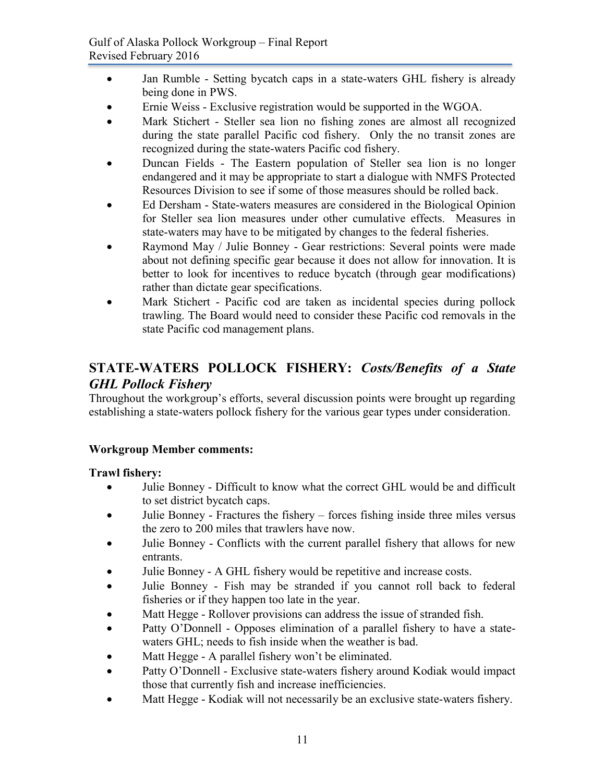- Jan Rumble Setting bycatch caps in a state-waters GHL fishery is already being done in PWS.
- Ernie Weiss Exclusive registration would be supported in the WGOA.
- Mark Stichert Steller sea lion no fishing zones are almost all recognized during the state parallel Pacific cod fishery. Only the no transit zones are recognized during the state-waters Pacific cod fishery.
- Duncan Fields The Eastern population of Steller sea lion is no longer endangered and it may be appropriate to start a dialogue with NMFS Protected Resources Division to see if some of those measures should be rolled back.
- Ed Dersham State-waters measures are considered in the Biological Opinion for Steller sea lion measures under other cumulative effects. Measures in state-waters may have to be mitigated by changes to the federal fisheries.
- Raymond May / Julie Bonney Gear restrictions: Several points were made about not defining specific gear because it does not allow for innovation. It is better to look for incentives to reduce bycatch (through gear modifications) rather than dictate gear specifications.
- Mark Stichert Pacific cod are taken as incidental species during pollock trawling. The Board would need to consider these Pacific cod removals in the state Pacific cod management plans.

# <span id="page-10-0"></span>**STATE-WATERS POLLOCK FISHERY:** *Costs/Benefits of a State GHL Pollock Fishery*

Throughout the workgroup's efforts, several discussion points were brought up regarding establishing a state-waters pollock fishery for the various gear types under consideration.

### <span id="page-10-1"></span>**Workgroup Member comments:**

### <span id="page-10-2"></span>**Trawl fishery:**

- Julie Bonney Difficult to know what the correct GHL would be and difficult to set district bycatch caps.
- Julie Bonney Fractures the fishery forces fishing inside three miles versus the zero to 200 miles that trawlers have now.
- Julie Bonney Conflicts with the current parallel fishery that allows for new entrants.
- Julie Bonney A GHL fishery would be repetitive and increase costs.
- Julie Bonney Fish may be stranded if you cannot roll back to federal fisheries or if they happen too late in the year.
- Matt Hegge Rollover provisions can address the issue of stranded fish.
- Patty O'Donnell Opposes elimination of a parallel fishery to have a statewaters GHL; needs to fish inside when the weather is bad.
- Matt Hegge A parallel fishery won't be eliminated.
- Patty O'Donnell Exclusive state-waters fishery around Kodiak would impact those that currently fish and increase inefficiencies.
- Matt Hegge Kodiak will not necessarily be an exclusive state-waters fishery.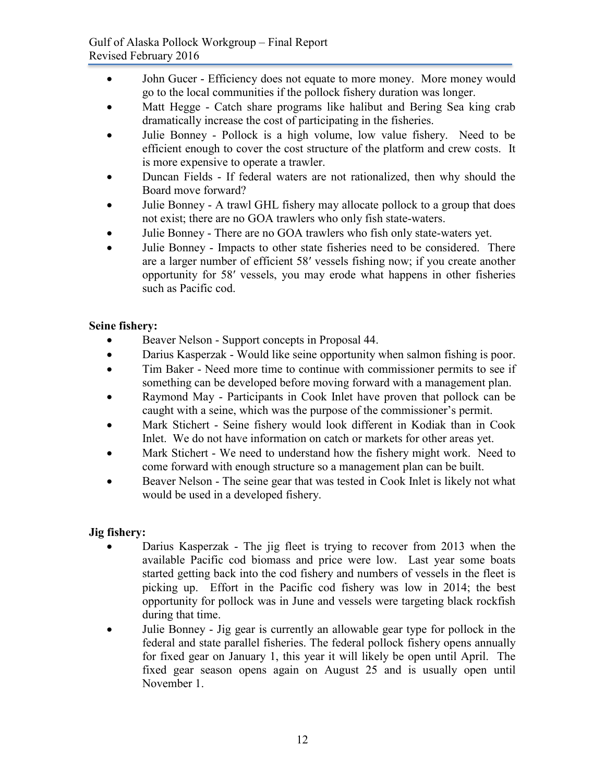- John Gucer Efficiency does not equate to more money. More money would go to the local communities if the pollock fishery duration was longer.
- Matt Hegge Catch share programs like halibut and Bering Sea king crab dramatically increase the cost of participating in the fisheries.
- Julie Bonney Pollock is a high volume, low value fishery. Need to be efficient enough to cover the cost structure of the platform and crew costs. It is more expensive to operate a trawler.
- Duncan Fields If federal waters are not rationalized, then why should the Board move forward?
- Julie Bonney A trawl GHL fishery may allocate pollock to a group that does not exist; there are no GOA trawlers who only fish state-waters.
- Julie Bonney There are no GOA trawlers who fish only state-waters yet.
- Julie Bonney Impacts to other state fisheries need to be considered. There are a larger number of efficient 58′ vessels fishing now; if you create another opportunity for 58′ vessels, you may erode what happens in other fisheries such as Pacific cod.

### <span id="page-11-0"></span>**Seine fishery:**

- Beaver Nelson Support concepts in Proposal 44.
- Darius Kasperzak Would like seine opportunity when salmon fishing is poor.
- Tim Baker Need more time to continue with commissioner permits to see if something can be developed before moving forward with a management plan.
- Raymond May Participants in Cook Inlet have proven that pollock can be caught with a seine, which was the purpose of the commissioner's permit.
- Mark Stichert Seine fishery would look different in Kodiak than in Cook Inlet. We do not have information on catch or markets for other areas yet.
- Mark Stichert We need to understand how the fishery might work. Need to come forward with enough structure so a management plan can be built.
- Beaver Nelson The seine gear that was tested in Cook Inlet is likely not what would be used in a developed fishery.

## <span id="page-11-1"></span>**Jig fishery:**

- Darius Kasperzak The jig fleet is trying to recover from 2013 when the available Pacific cod biomass and price were low. Last year some boats started getting back into the cod fishery and numbers of vessels in the fleet is picking up. Effort in the Pacific cod fishery was low in 2014; the best opportunity for pollock was in June and vessels were targeting black rockfish during that time.
- Julie Bonney Jig gear is currently an allowable gear type for pollock in the federal and state parallel fisheries. The federal pollock fishery opens annually for fixed gear on January 1, this year it will likely be open until April. The fixed gear season opens again on August 25 and is usually open until November 1.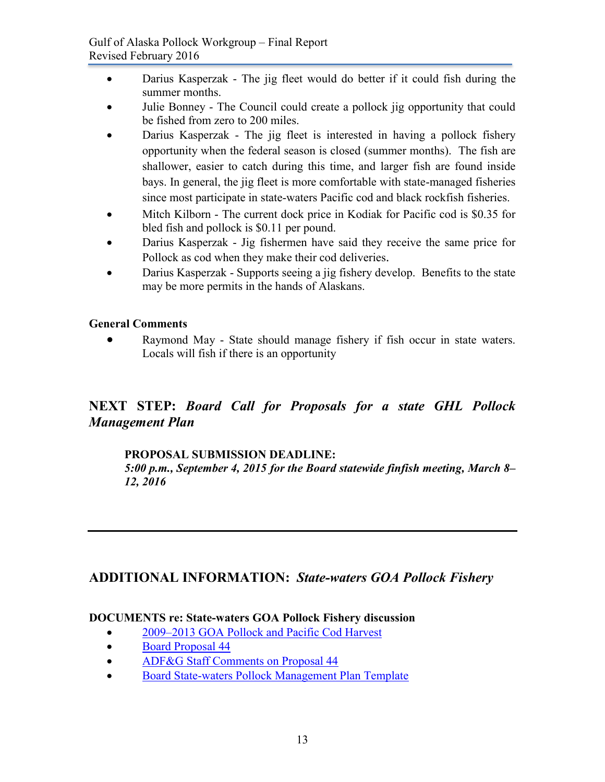- Darius Kasperzak The jig fleet would do better if it could fish during the summer months.
- Julie Bonney The Council could create a pollock jig opportunity that could be fished from zero to 200 miles.
- Darius Kasperzak The jig fleet is interested in having a pollock fishery opportunity when the federal season is closed (summer months). The fish are shallower, easier to catch during this time, and larger fish are found inside bays. In general, the jig fleet is more comfortable with state-managed fisheries since most participate in state-waters Pacific cod and black rockfish fisheries.
- Mitch Kilborn The current dock price in Kodiak for Pacific cod is \$0.35 for bled fish and pollock is \$0.11 per pound.
- Darius Kasperzak Jig fishermen have said they receive the same price for Pollock as cod when they make their cod deliveries.
- Darius Kasperzak Supports seeing a jig fishery develop. Benefits to the state may be more permits in the hands of Alaskans.

### <span id="page-12-0"></span>**General Comments**

 Raymond May - State should manage fishery if fish occur in state waters. Locals will fish if there is an opportunity

# <span id="page-12-1"></span>**NEXT STEP:** *Board Call for Proposals for a state GHL Pollock Management Plan*

### **PROPOSAL SUBMISSION DEADLINE:**

 *5:00 p.m., September 4, 2015 for the Board statewide finfish meeting, March 8– 12, 2016*

## <span id="page-12-2"></span>**ADDITIONAL INFORMATION:** *State-waters GOA Pollock Fishery*

### <span id="page-12-3"></span>**DOCUMENTS re: State-waters GOA Pollock Fishery discussion**

- [2009–2013 GOA Pollock and Pacific Cod Harvest](http://www.adfg.alaska.gov/static-f/regulations/regprocess/fisheriesboard/cgoapollockworkgroup/pdfs/data_ghl.pdf)
- [Board Proposal 44](http://www.adfg.alaska.gov/static-f/regulations/regprocess/fisheriesboard/cgoapollockworkgroup/pdfs/proposal_44.pdf)
- [ADF&G Staff Comments on Proposal 44](http://www.adfg.alaska.gov/static-f/regulations/regprocess/fisheriesboard/cgoapollockworkgroup/pdfs/staff_comments_proposal_44.pdf)
- [Board State-waters Pollock Management Plan Template](http://www.adfg.alaska.gov/static-f/regulations/regprocess/fisheriesboard/cgoapollockworkgroup/pdfs/draft_walleye_plan.pdf)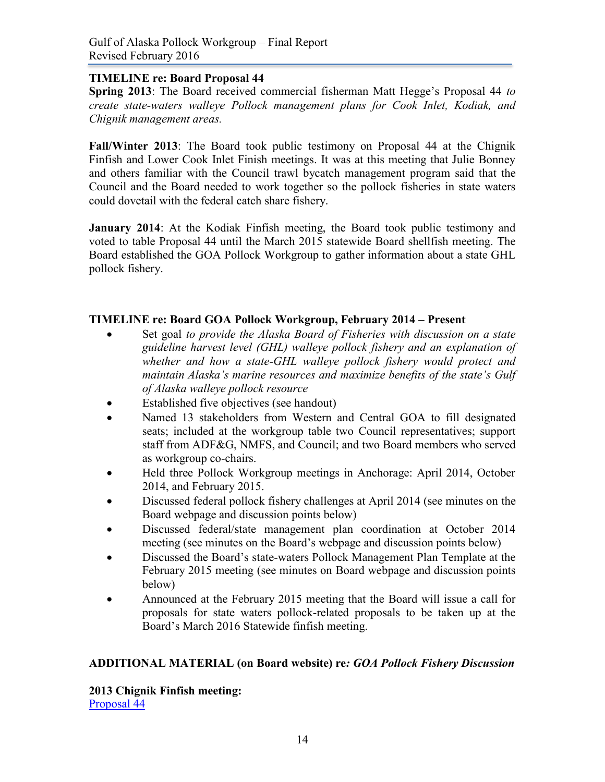#### <span id="page-13-0"></span>**TIMELINE re: Board Proposal 44**

**Spring 2013**: The Board received commercial fisherman Matt Hegge's Proposal 44 *to create state-waters walleye Pollock management plans for Cook Inlet, Kodiak, and Chignik management areas.* 

**Fall/Winter 2013**: The Board took public testimony on Proposal 44 at the Chignik Finfish and Lower Cook Inlet Finish meetings. It was at this meeting that Julie Bonney and others familiar with the Council trawl bycatch management program said that the Council and the Board needed to work together so the pollock fisheries in state waters could dovetail with the federal catch share fishery.

**January 2014**: At the Kodiak Finfish meeting, the Board took public testimony and voted to table Proposal 44 until the March 2015 statewide Board shellfish meeting. The Board established the GOA Pollock Workgroup to gather information about a state GHL pollock fishery.

#### <span id="page-13-1"></span>**TIMELINE re: Board GOA Pollock Workgroup, February 2014 – Present**

- Set goal *to provide the Alaska Board of Fisheries with discussion on a state guideline harvest level (GHL) walleye pollock fishery and an explanation of whether and how a state-GHL walleye pollock fishery would protect and maintain Alaska's marine resources and maximize benefits of the state's Gulf of Alaska walleye pollock resource*
- Established five objectives (see handout)
- Named 13 stakeholders from Western and Central GOA to fill designated seats; included at the workgroup table two Council representatives; support staff from ADF&G, NMFS, and Council; and two Board members who served as workgroup co-chairs.
- Held three Pollock Workgroup meetings in Anchorage: April 2014, October 2014, and February 2015.
- Discussed federal pollock fishery challenges at April 2014 (see minutes on the Board webpage and discussion points below)
- Discussed federal/state management plan coordination at October 2014 meeting (see minutes on the Board's webpage and discussion points below)
- Discussed the Board's state-waters Pollock Management Plan Template at the February 2015 meeting (see minutes on Board webpage and discussion points below)
- Announced at the February 2015 meeting that the Board will issue a call for proposals for state waters pollock-related proposals to be taken up at the Board's March 2016 Statewide finfish meeting.

#### <span id="page-13-2"></span>**ADDITIONAL MATERIAL (on Board website) re***: GOA Pollock Fishery Discussion*

**2013 Chignik Finfish meeting:**  [Proposal 44](http://www.adfg.alaska.gov/static-f/regulations/regprocess/fisheriesboard/cgoapollockworkgroup/pdfs/proposal_44.pdf)